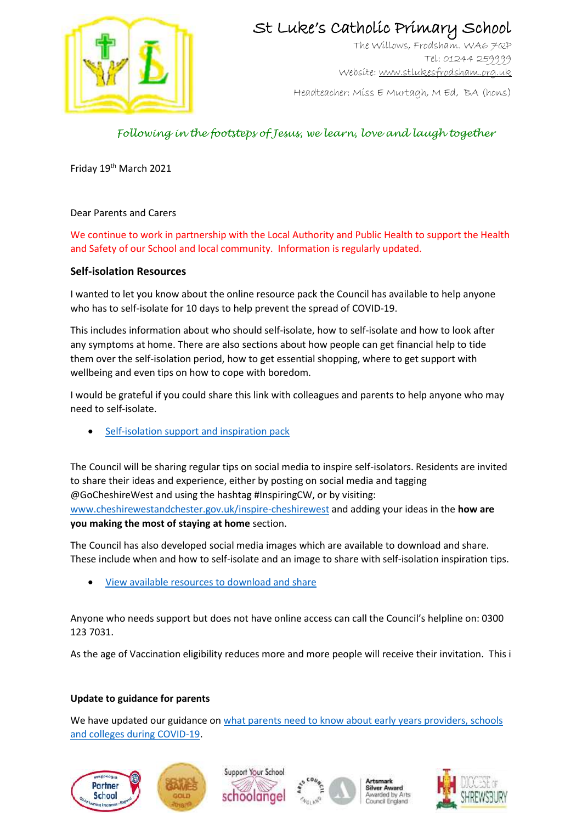

## St Luke's Catholic Primary School

The Willows, Frodsham. WA6 7QP Tel: 01244 259999 Website[: www.stlukesfrodsham.org.uk](http://www.stlukesfrodsham.org.uk/)

Headteacher: Miss E Murtagh, M Ed, BA (hons)

## *Following in the footsteps of Jesus, we learn, love and laugh together*

Friday 19<sup>th</sup> March 2021

Dear Parents and Carers

We continue to work in partnership with the Local Authority and Public Health to support the Health and Safety of our School and local community. Information is regularly updated.

#### **Self-isolation Resources**

I wanted to let you know about the online resource pack the Council has available to help anyone who has to self-isolate for 10 days to help prevent the spread of COVID-19.

This includes information about who should self-isolate, how to self-isolate and how to look after any symptoms at home. There are also sections about how people can get financial help to tide them over the self-isolation period, how to get essential shopping, where to get support with wellbeing and even tips on how to cope with boredom.

I would be grateful if you could share this link with colleagues and parents to help anyone who may need to self-isolate.

[Self-isolation support and inspiration pack](https://www.cheshirewestandchester.gov.uk/news-and-views/incidents/coronavirus-covid-19/health-advice/self-isolation-support-and-inspiration.aspx?utm_source=partner&utm_medium=email&utm_campaign=coronavirus)

The Council will be sharing regular tips on social media to inspire self-isolators. Residents are invited to share their ideas and experience, either by posting on social media and tagging @GoCheshireWest and using the hashtag #InspiringCW, or by visiting: [www.cheshirewestandchester.gov.uk/inspire-cheshirewest](http://www.cheshirewestandchester.gov.uk/inspire-cheshirewest) and adding your ideas in the **how are you making the most of staying at home** section.

The Council has also developed social media images which are available to download and share. These include when and how to self-isolate and an image to share with self-isolation inspiration tips.

[View available resources to download and share](https://www.cheshirewestandchester.gov.uk/news-and-views/incidents/coronavirus-covid-19/how-you-can-help/resources.aspx)

Anyone who needs support but does not have online access can call the Council's helpline on: 0300 123 7031.

As the age of Vaccination eligibility reduces more and more people will receive their invitation. This i

#### **Update to guidance for parents**

We have updated our guidance on what parents need to know about early years providers, schools [and colleges during COVID-19.](https://www.gov.uk/government/publications/what-parents-and-carers-need-to-know-about-early-years-providers-schools-and-colleges-during-the-coronavirus-covid-19-outbreak/what-parents-need-to-know-about-early-years-providers-schools-and-colleges-during-covid-19?utm_source=17%20March%202021%20C19&utm_medium=Daily%20Email%20C19&utm_campaign=DfE%20C19)